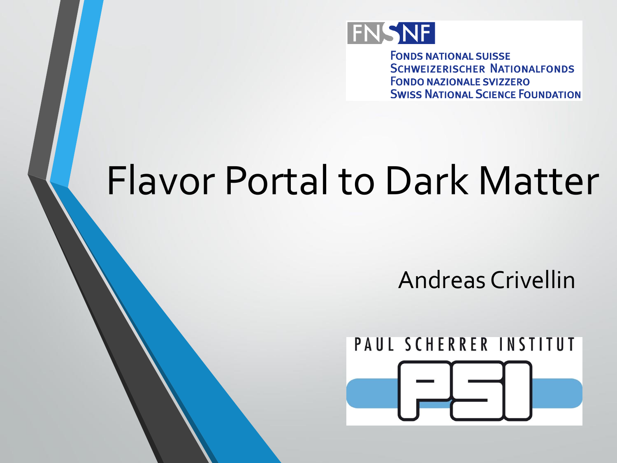

**FONDS NATIONAL SUISSE SCHWEIZERISCHER NATIONALFONDS FONDO NAZIONALE SVIZZERO SWISS NATIONAL SCIENCE FOUNDATION** 

# Flavor Portal to Dark Matter

Andreas Crivellin

### PAUL SCHERRER INSTITUT

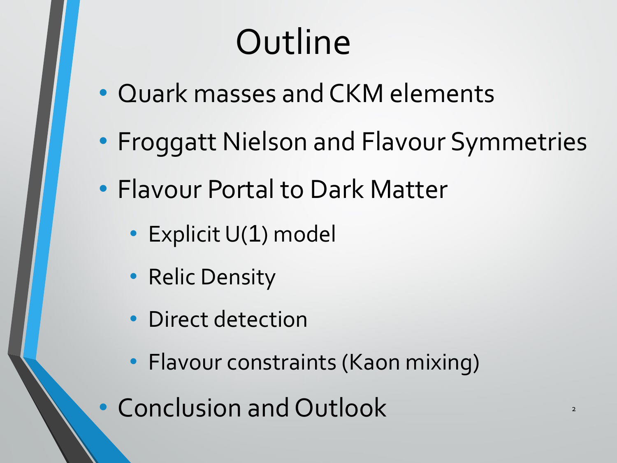# **Outline**

- Quark masses and CKM elements
- Froggatt Nielson and Flavour Symmetries
- Flavour Portal to Dark Matter
	- Explicit U(1) model
	- Relic Density
	- Direct detection
	- Flavour constraints (Kaon mixing)
- Conclusion and Outlook 2021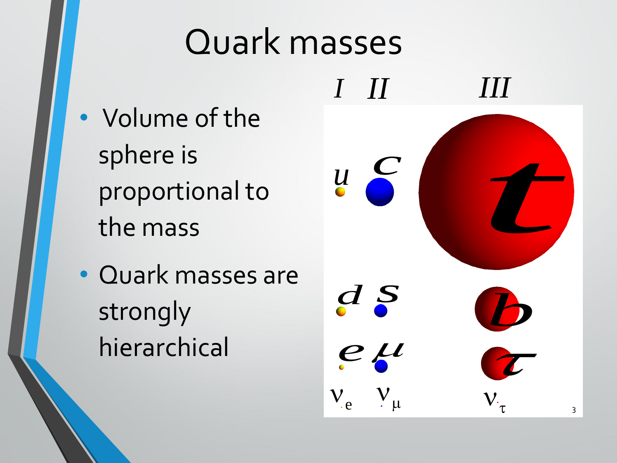### Quark masses

- Volume of the sphere is proportional to the mass
- Quark masses are strongly hierarchical

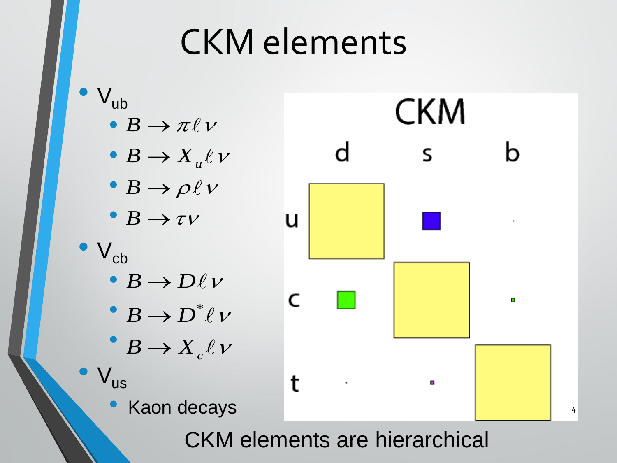### CKM elements



**CKM** elements are hierarchical

4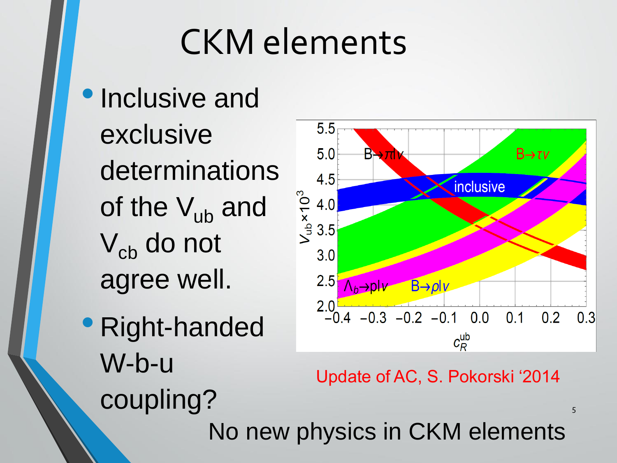## CKM elements

- Inclusive and exclusive determinations of the  $V_{ub}$  and V<sub>cb</sub> do not agree well.
- Right-handed W-b-u coupling?



Update of AC, S. Pokorski '2014

5

No new physics in CKM elements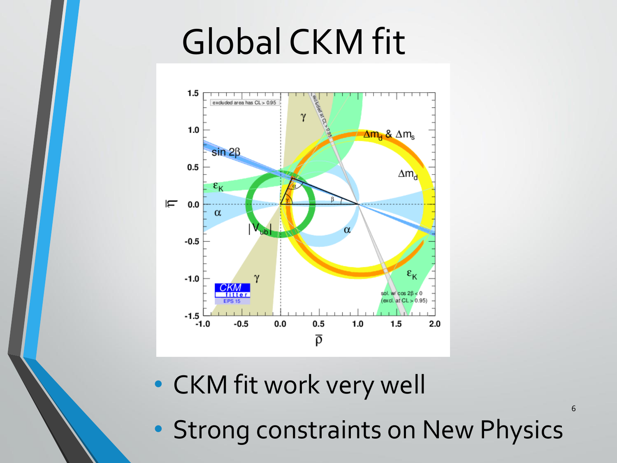# Global CKM fit



- CKM fit work very well
- Strong constraints on New Physics

6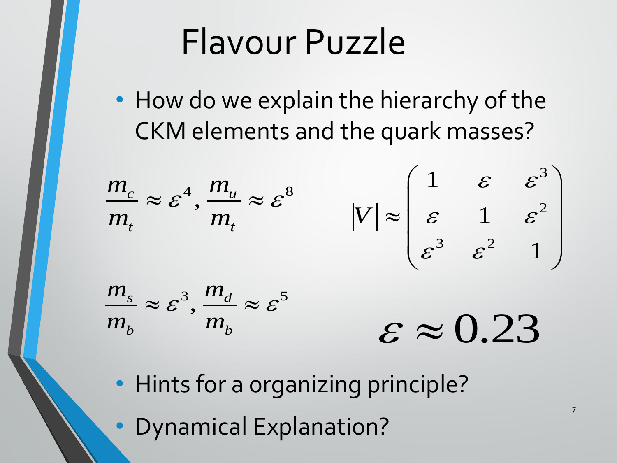### Flavour Puzzle

• How do we explain the hierarchy of the CKM elements and the quark masses?

$$
\frac{m_c}{m_t} \approx \varepsilon^4, \frac{m_u}{m_t} \approx \varepsilon^8 \qquad |V| \approx \begin{pmatrix} 1 & \varepsilon & \varepsilon^3 \\ \varepsilon & 1 & \varepsilon^2 \\ \varepsilon^3 & \varepsilon^2 & 1 \end{pmatrix}
$$

$$
\frac{m_s}{m_b} \approx \varepsilon^3, \frac{m_d}{m_b} \approx \varepsilon^5 \qquad \qquad \varepsilon \approx 0.23
$$

7

• Hints for a organizing principle?

• Dynamical Explanation?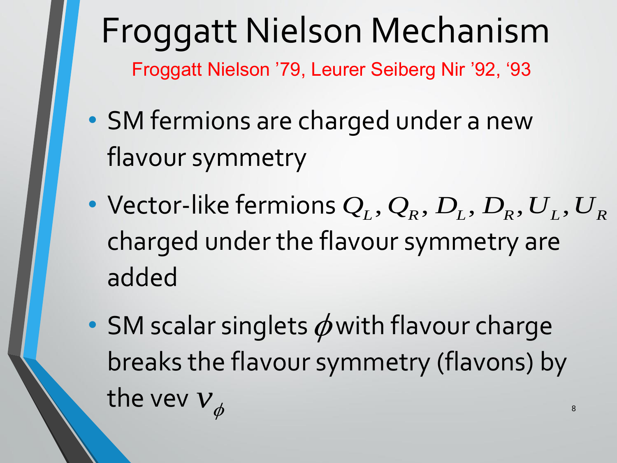### Froggatt Nielson Mechanism Froggatt Nielson '79, Leurer Seiberg Nir '92, '93

- SM fermions are charged under a new flavour symmetry
- Vector-like fermions  $\mathcal{Q}_L, \mathcal{Q}_R, D_L, D_R, U_L, U_R$ charged under the flavour symmetry are added
- SM scalar singlets  $\phi$  with flavour charge breaks the flavour symmetry (flavons) by the vev  $v_{\phi}$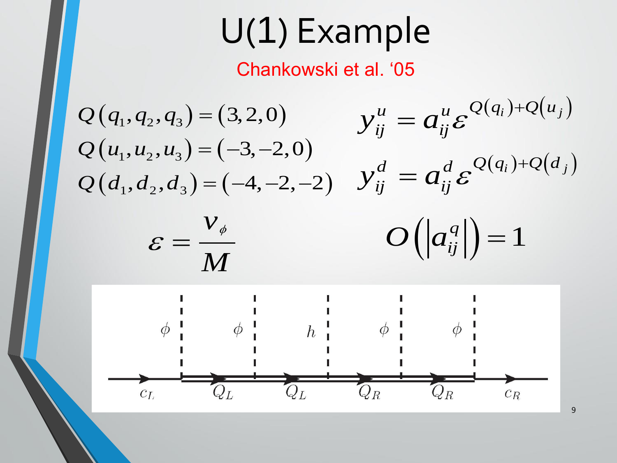## U(1) Example

#### Chankowski et al. '05

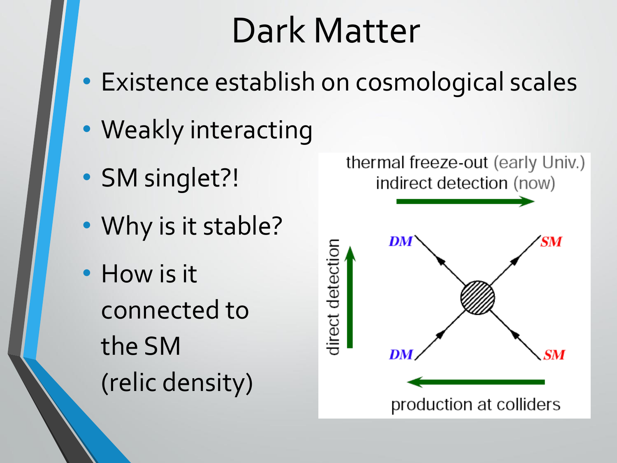## Dark Matter

- Existence establish on cosmological scales
- Weakly interacting
- SM singlet?!
- Why is it stable?
- How is it connected to the SM (relic density)

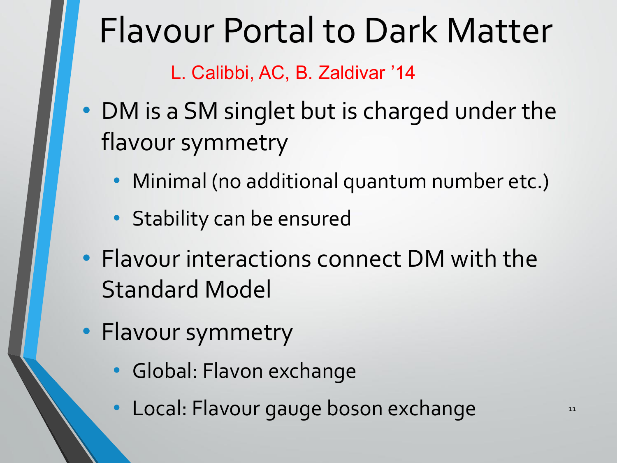### Flavour Portal to Dark Matter

L. Calibbi, AC, B. Zaldivar '14

- DM is a SM singlet but is charged under the flavour symmetry
	- Minimal (no additional quantum number etc.)
	- Stability can be ensured
- Flavour interactions connect DM with the Standard Model
- Flavour symmetry
	- Global: Flavon exchange
	- Local: Flavour gauge boson exchange 11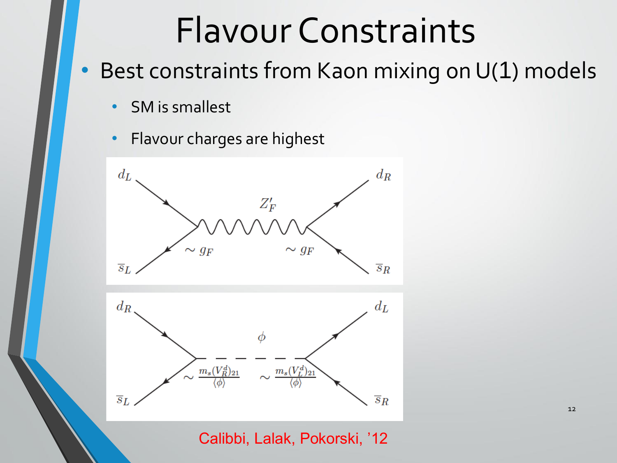### Flavour Constraints

- Best constraints from Kaon mixing on U(1) models
	- SM is smallest
	- Flavour charges are highest





Calibbi, Lalak, Pokorski, '12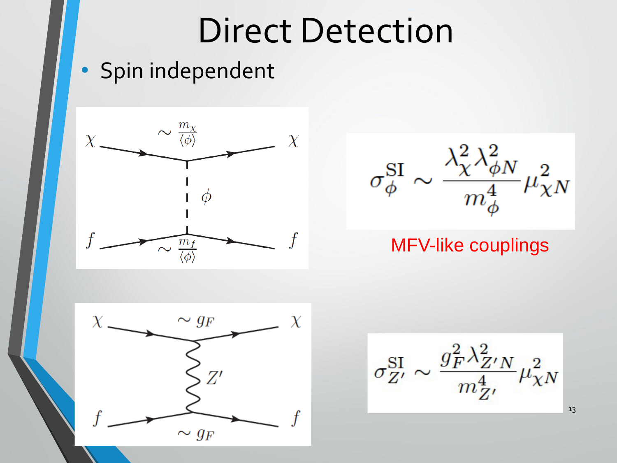### Direct Detection

#### • Spin independent



 $\sim \frac{\lambda_\chi^2 \lambda_{\phi N}^2}{m_\phi^4} \mu_{\chi N}^2$  $\sigma_\phi^{\rm SI} \sim$ 

#### MFV-like couplings



 $\sigma_{Z'}^{\rm SI} \sim \frac{g_F^2 \lambda_{Z'N}^2}{m_{Z'}^4} \mu_{\chi N}^2$ 

13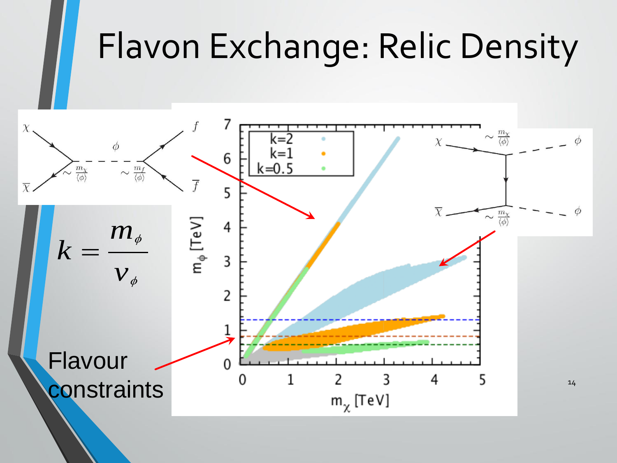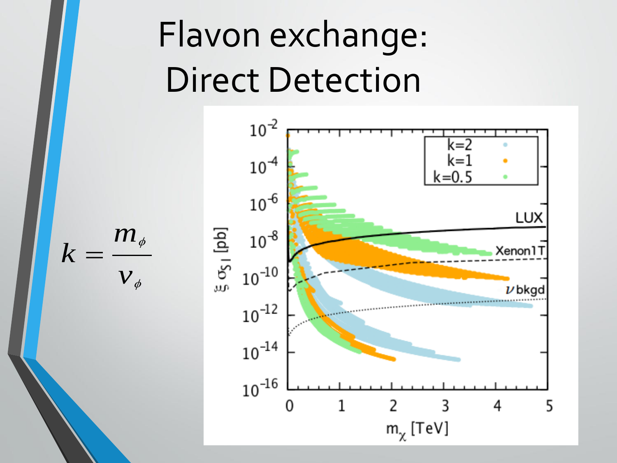# Flavon exchange: Direct Detection



*m k*  $v_{\phi}$  $=$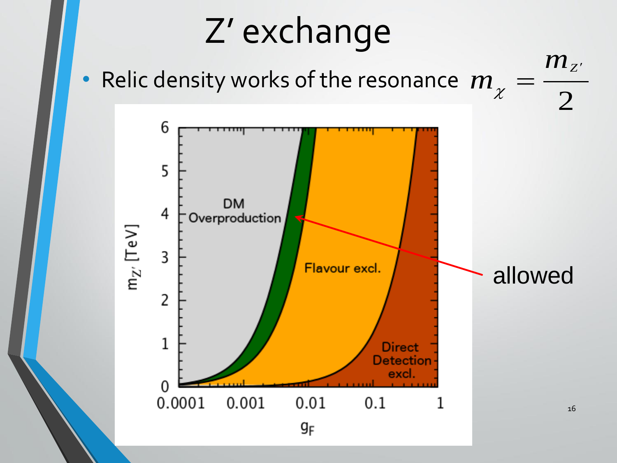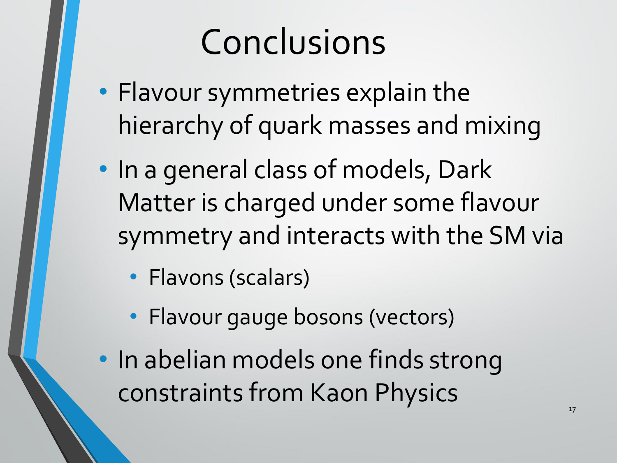## Conclusions

- Flavour symmetries explain the hierarchy of quark masses and mixing
- In a general class of models, Dark Matter is charged under some flavour symmetry and interacts with the SM via
	- Flavons (scalars)
	- Flavour gauge bosons (vectors)
- In abelian models one finds strong constraints from Kaon Physics